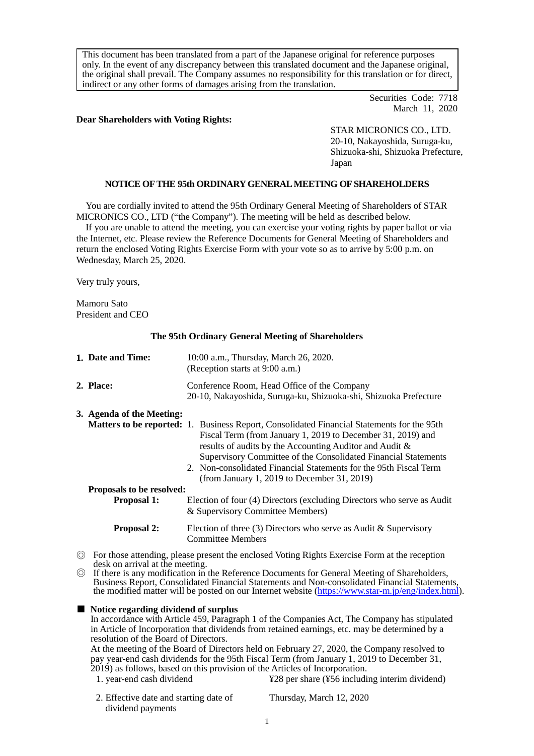This document has been translated from a part of the Japanese original for reference purposes only. In the event of any discrepancy between this translated document and the Japanese original, the original shall prevail. The Company assumes no responsibility for this translation or for direct, indirect or any other forms of damages arising from the translation.

> Securities Code: 7718 March 11, 2020

### **Dear Shareholders with Voting Rights:**

STAR MICRONICS CO., LTD. 20-10, Nakayoshida, Suruga-ku, Shizuoka-shi, Shizuoka Prefecture, Japan

## **NOTICE OF THE 95th ORDINARY GENERAL MEETING OF SHAREHOLDERS**

You are cordially invited to attend the 95th Ordinary General Meeting of Shareholders of STAR MICRONICS CO., LTD ("the Company"). The meeting will be held as described below.

If you are unable to attend the meeting, you can exercise your voting rights by paper ballot or via the Internet, etc. Please review the Reference Documents for General Meeting of Shareholders and return the enclosed Voting Rights Exercise Form with your vote so as to arrive by 5:00 p.m. on Wednesday, March 25, 2020.

Very truly yours,

Mamoru Sato President and CEO

#### **The 95th Ordinary General Meeting of Shareholders**

| 1. Date and Time:         | 10:00 a.m., Thursday, March 26, 2020.<br>(Reception starts at 9:00 a.m.)                                                                                                                                                                                                                      |  |
|---------------------------|-----------------------------------------------------------------------------------------------------------------------------------------------------------------------------------------------------------------------------------------------------------------------------------------------|--|
| 2. Place:                 | Conference Room, Head Office of the Company<br>20-10, Nakayoshida, Suruga-ku, Shizuoka-shi, Shizuoka Prefecture                                                                                                                                                                               |  |
| 3. Agenda of the Meeting: | <b>Matters to be reported:</b> 1. Business Report, Consolidated Financial Statements for the 95th<br>Fiscal Term (from January 1, 2019 to December 31, 2019) and<br>results of audits by the Accounting Auditor and Audit &<br>Supervisory Committee of the Consolidated Financial Statements |  |
|                           | 2. Non-consolidated Financial Statements for the 95th Fiscal Term<br>(from January 1, 2019 to December 31, 2019)                                                                                                                                                                              |  |
| Proposals to be resolved: |                                                                                                                                                                                                                                                                                               |  |
| <b>Proposal 1:</b>        | Election of four (4) Directors (excluding Directors who serve as Audit<br>& Supervisory Committee Members)                                                                                                                                                                                    |  |
| <b>Proposal 2:</b>        | Election of three (3) Directors who serve as Audit & Supervisory<br><b>Committee Members</b>                                                                                                                                                                                                  |  |

- ◎ For those attending, please present the enclosed Voting Rights Exercise Form at the reception
- © If there is any modification in the Reference Documents for General Meeting of Shareholders, Business Report. Consolidated Financial Statements and Non-consolidated Financial Statements. the modified matter will be posted on our Internet website [\(https://www.star-m.jp/eng/index.html\)](https://www.star-m.jp/eng/index.html).
- **Notice regarding dividend of surplus** In accordance with Article 459, Paragraph 1 of the Companies Act, The Company has stipulated in Article of Incorporation that dividends from retained earnings, etc. may be determined by a resolution of the Board of Directors. At the meeting of the Board of Directors held on February 27, 2020, the Company resolved to pay year-end cash dividends for the 95th Fiscal Term (from January 1, 2019 to December 31, 2019) as follows, based on this provision of the Articles of Incorporation. 1. year-end cash dividend  $\angle$  **\\epsilon** \\epsilon \\epsilon \\epsilon \\epsilon \\epsilon \\epsilon \\epsilon \\epsilon \\epsilon \\epsilon \\epsilon \\epsilon \\epsilon \\epsilon \\epsilon \\epsilon \\epsilon \\epsilon 2. Effective date and starting date of dividend payments Thursday, March 12, 2020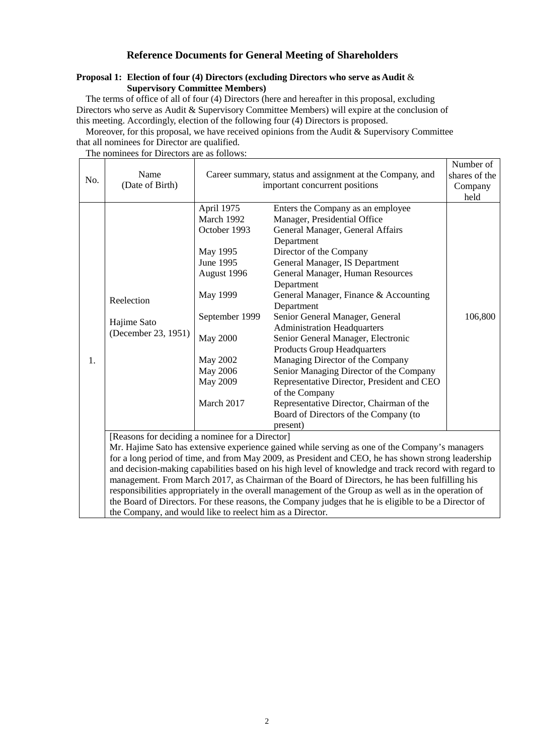# **Reference Documents for General Meeting of Shareholders**

### **Proposal 1: Election of four (4) Directors (excluding Directors who serve as Audit** & **Supervisory Committee Members)**

The terms of office of all of four (4) Directors (here and hereafter in this proposal, excluding Directors who serve as Audit & Supervisory Committee Members) will expire at the conclusion of this meeting. Accordingly, election of the following four (4) Directors is proposed.

Moreover, for this proposal, we have received opinions from the Audit & Supervisory Committee that all nominees for Director are qualified.

No. Name<br>(Date of Birth) Career summary, status and assignment at the Company, and important concurrent positions Number of shares of the Company held 1. Reelection Hajime Sato (December 23, 1951) April 1975 March 1992 October 1993 May 1995 June 1995 August 1996 May 1999 September 1999 May 2000 May 2002 May 2006 May 2009 March 2017 Enters the Company as an employee Manager, Presidential Office General Manager, General Affairs Department Director of the Company General Manager, IS Department General Manager, Human Resources Department General Manager, Finance & Accounting Department Senior General Manager, General Administration Headquarters Senior General Manager, Electronic Products Group Headquarters Managing Director of the Company Senior Managing Director of the Company Representative Director, President and CEO of the Company Representative Director, Chairman of the Board of Directors of the Company (to present) 106,800 [Reasons for deciding a nominee for a Director] Mr. Hajime Sato has extensive experience gained while serving as one of the Company's managers for a long period of time, and from May 2009, as President and CEO, he has shown strong leadership and decision-making capabilities based on his high level of knowledge and track record with regard to management. From March 2017, as Chairman of the Board of Directors, he has been fulfilling his responsibilities appropriately in the overall management of the Group as well as in the operation of the Board of Directors. For these reasons, the Company judges that he is eligible to be a Director of the Company, and would like to reelect him as a Director.

The nominees for Directors are as follows: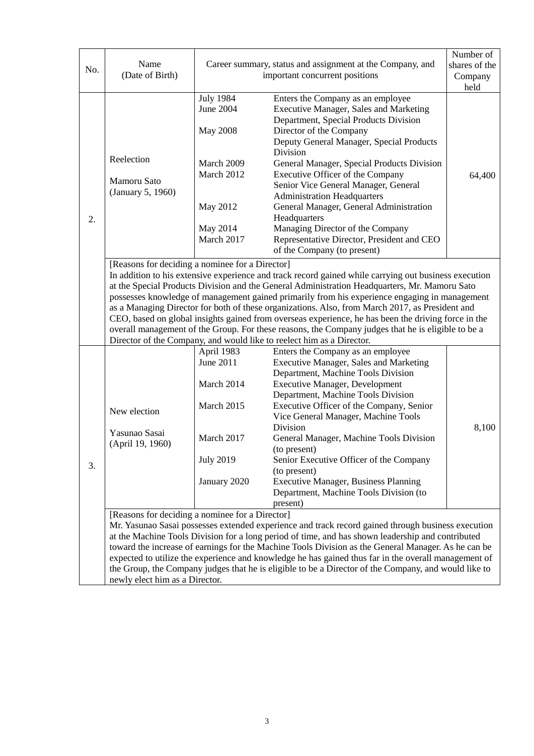| No. | Name<br>(Date of Birth)                                                                                                                                                                                                                                                                                                                                                                                                                                                                                                                                                                                                                                                                                                                             | Career summary, status and assignment at the Company, and<br>important concurrent positions                        |                                                                                                                                                                                                                                                                                                                                                                                                                                                                                                                                                            | Number of<br>shares of the<br>Company<br>held |  |
|-----|-----------------------------------------------------------------------------------------------------------------------------------------------------------------------------------------------------------------------------------------------------------------------------------------------------------------------------------------------------------------------------------------------------------------------------------------------------------------------------------------------------------------------------------------------------------------------------------------------------------------------------------------------------------------------------------------------------------------------------------------------------|--------------------------------------------------------------------------------------------------------------------|------------------------------------------------------------------------------------------------------------------------------------------------------------------------------------------------------------------------------------------------------------------------------------------------------------------------------------------------------------------------------------------------------------------------------------------------------------------------------------------------------------------------------------------------------------|-----------------------------------------------|--|
| 2.  | Reelection<br>Mamoru Sato<br>(January 5, 1960)                                                                                                                                                                                                                                                                                                                                                                                                                                                                                                                                                                                                                                                                                                      | <b>July 1984</b><br>June 2004<br><b>May 2008</b><br>March 2009<br>March 2012<br>May 2012<br>May 2014<br>March 2017 | Enters the Company as an employee<br><b>Executive Manager, Sales and Marketing</b><br>Department, Special Products Division<br>Director of the Company<br>Deputy General Manager, Special Products<br>Division<br>General Manager, Special Products Division<br>Executive Officer of the Company<br>Senior Vice General Manager, General<br><b>Administration Headquarters</b><br>General Manager, General Administration<br>Headquarters<br>Managing Director of the Company<br>Representative Director, President and CEO<br>of the Company (to present) | 64,400                                        |  |
|     | [Reasons for deciding a nominee for a Director]<br>In addition to his extensive experience and track record gained while carrying out business execution<br>at the Special Products Division and the General Administration Headquarters, Mr. Mamoru Sato<br>possesses knowledge of management gained primarily from his experience engaging in management<br>as a Managing Director for both of these organizations. Also, from March 2017, as President and<br>CEO, based on global insights gained from overseas experience, he has been the driving force in the<br>overall management of the Group. For these reasons, the Company judges that he is eligible to be a<br>Director of the Company, and would like to reelect him as a Director. |                                                                                                                    |                                                                                                                                                                                                                                                                                                                                                                                                                                                                                                                                                            |                                               |  |
| 3.  | New election<br>Yasunao Sasai<br>(April 19, 1960)                                                                                                                                                                                                                                                                                                                                                                                                                                                                                                                                                                                                                                                                                                   | April 1983<br>June 2011<br>March 2014<br>March 2015<br>March 2017<br><b>July 2019</b><br>January 2020              | Enters the Company as an employee<br><b>Executive Manager, Sales and Marketing</b><br>Department, Machine Tools Division<br><b>Executive Manager, Development</b><br>Department, Machine Tools Division<br>Executive Officer of the Company, Senior<br>Vice General Manager, Machine Tools<br>Division<br>General Manager, Machine Tools Division<br>(to present)<br>Senior Executive Officer of the Company<br>(to present)<br><b>Executive Manager, Business Planning</b><br>Department, Machine Tools Division (to<br>present)                          | 8,100                                         |  |
|     | [Reasons for deciding a nominee for a Director]<br>Mr. Yasunao Sasai possesses extended experience and track record gained through business execution<br>at the Machine Tools Division for a long period of time, and has shown leadership and contributed<br>toward the increase of earnings for the Machine Tools Division as the General Manager. As he can be<br>expected to utilize the experience and knowledge he has gained thus far in the overall management of<br>the Group, the Company judges that he is eligible to be a Director of the Company, and would like to<br>newly elect him as a Director.                                                                                                                                 |                                                                                                                    |                                                                                                                                                                                                                                                                                                                                                                                                                                                                                                                                                            |                                               |  |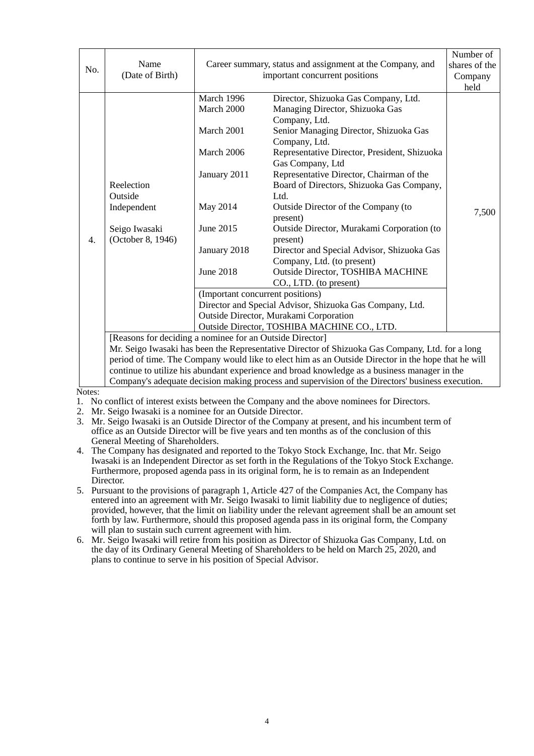| No.                                                      | Name<br>(Date of Birth)                                                                             | Career summary, status and assignment at the Company, and<br>important concurrent positions     |                                              | Number of<br>shares of the<br>Company<br>held |
|----------------------------------------------------------|-----------------------------------------------------------------------------------------------------|-------------------------------------------------------------------------------------------------|----------------------------------------------|-----------------------------------------------|
|                                                          |                                                                                                     | March 1996                                                                                      | Director, Shizuoka Gas Company, Ltd.         |                                               |
|                                                          |                                                                                                     | March 2000                                                                                      | Managing Director, Shizuoka Gas              |                                               |
|                                                          |                                                                                                     |                                                                                                 | Company, Ltd.                                |                                               |
|                                                          |                                                                                                     | March 2001                                                                                      | Senior Managing Director, Shizuoka Gas       |                                               |
|                                                          |                                                                                                     |                                                                                                 | Company, Ltd.                                |                                               |
|                                                          |                                                                                                     | March 2006                                                                                      | Representative Director, President, Shizuoka |                                               |
|                                                          |                                                                                                     |                                                                                                 | Gas Company, Ltd                             |                                               |
|                                                          |                                                                                                     | January 2011                                                                                    | Representative Director, Chairman of the     |                                               |
|                                                          | Reelection                                                                                          |                                                                                                 | Board of Directors, Shizuoka Gas Company,    |                                               |
|                                                          | Outside                                                                                             |                                                                                                 | Ltd.                                         |                                               |
|                                                          | Independent                                                                                         | May 2014                                                                                        | Outside Director of the Company (to          | 7,500                                         |
|                                                          |                                                                                                     |                                                                                                 | present)                                     |                                               |
|                                                          | Seigo Iwasaki                                                                                       | June 2015                                                                                       | Outside Director, Murakami Corporation (to   |                                               |
| $\overline{4}$ .                                         | (October 8, 1946)                                                                                   |                                                                                                 | present)                                     |                                               |
|                                                          |                                                                                                     | January 2018                                                                                    | Director and Special Advisor, Shizuoka Gas   |                                               |
|                                                          |                                                                                                     |                                                                                                 | Company, Ltd. (to present)                   |                                               |
|                                                          |                                                                                                     | <b>June 2018</b>                                                                                | Outside Director, TOSHIBA MACHINE            |                                               |
|                                                          |                                                                                                     |                                                                                                 | CO., LTD. (to present)                       |                                               |
|                                                          |                                                                                                     | (Important concurrent positions)                                                                |                                              |                                               |
| Director and Special Advisor, Shizuoka Gas Company, Ltd. |                                                                                                     |                                                                                                 |                                              |                                               |
|                                                          |                                                                                                     | Outside Director, Murakami Corporation                                                          |                                              |                                               |
|                                                          | Outside Director, TOSHIBA MACHINE CO., LTD.                                                         |                                                                                                 |                                              |                                               |
|                                                          |                                                                                                     | [Reasons for deciding a nominee for an Outside Director]                                        |                                              |                                               |
|                                                          |                                                                                                     | Mr. Seigo Iwasaki has been the Representative Director of Shizuoka Gas Company, Ltd. for a long |                                              |                                               |
|                                                          | period of time. The Company would like to elect him as an Outside Director in the hope that he will |                                                                                                 |                                              |                                               |
|                                                          |                                                                                                     | continue to utilize his abundant experience and broad knowledge as a business manager in the    |                                              |                                               |
|                                                          | Company's adequate decision making process and supervision of the Directors' business execution.    |                                                                                                 |                                              |                                               |

Notes:

- 1. No conflict of interest exists between the Company and the above nominees for Directors.
- 2. Mr. Seigo Iwasaki is a nominee for an Outside Director.
- 3. Mr. Seigo Iwasaki is an Outside Director of the Company at present, and his incumbent term of office as an Outside Director will be five years and ten months as of the conclusion of this General Meeting of Shareholders.
- 4. The Company has designated and reported to the Tokyo Stock Exchange, Inc. that Mr. Seigo Iwasaki is an Independent Director as set forth in the Regulations of the Tokyo Stock Exchange. Furthermore, proposed agenda pass in its original form, he is to remain as an Independent Director.
- 5. Pursuant to the provisions of paragraph 1, Article 427 of the Companies Act, the Company has entered into an agreement with Mr. Seigo Iwasaki to limit liability due to negligence of duties; provided, however, that the limit on liability under the relevant agreement shall be an amount set forth by law. Furthermore, should this proposed agenda pass in its original form, the Company will plan to sustain such current agreement with him.
- 6. Mr. Seigo Iwasaki will retire from his position as Director of Shizuoka Gas Company, Ltd. on the day of its Ordinary General Meeting of Shareholders to be held on March 25, 2020, and plans to continue to serve in his position of Special Advisor.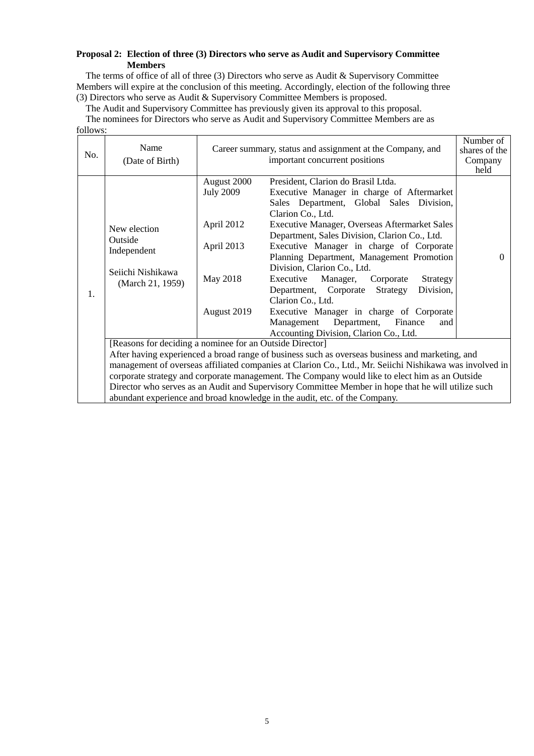## **Proposal 2: Election of three (3) Directors who serve as Audit and Supervisory Committee Members**

The terms of office of all of three (3) Directors who serve as Audit & Supervisory Committee Members will expire at the conclusion of this meeting. Accordingly, election of the following three (3) Directors who serve as Audit & Supervisory Committee Members is proposed.

The Audit and Supervisory Committee has previously given its approval to this proposal.

The nominees for Directors who serve as Audit and Supervisory Committee Members are as

follows:

| No. | Name<br>(Date of Birth)                                                                                                                                                                                   |                                                                                                                                                             | Career summary, status and assignment at the Company, and<br>important concurrent positions                                                                                                                                                                                                                                                                                                                                                                                                                                                                                                                                               | Number of<br>shares of the<br>Company<br>held |  |
|-----|-----------------------------------------------------------------------------------------------------------------------------------------------------------------------------------------------------------|-------------------------------------------------------------------------------------------------------------------------------------------------------------|-------------------------------------------------------------------------------------------------------------------------------------------------------------------------------------------------------------------------------------------------------------------------------------------------------------------------------------------------------------------------------------------------------------------------------------------------------------------------------------------------------------------------------------------------------------------------------------------------------------------------------------------|-----------------------------------------------|--|
| 1.  | New election<br>Outside<br>Independent<br>Seiichi Nishikawa<br>(March 21, 1959)                                                                                                                           | August 2000<br><b>July 2009</b><br>April 2012<br>April 2013<br>May 2018<br>August 2019                                                                      | President, Clarion do Brasil Ltda.<br>Executive Manager in charge of Aftermarket<br>Sales Department, Global Sales Division,<br>Clarion Co., Ltd.<br>Executive Manager, Overseas Aftermarket Sales<br>Department, Sales Division, Clarion Co., Ltd.<br>Executive Manager in charge of Corporate<br>Planning Department, Management Promotion<br>Division, Clarion Co., Ltd.<br>Executive<br>Manager,<br>Corporate<br>Strategy<br>Department, Corporate<br>Division,<br>Strategy<br>Clarion Co., Ltd.<br>Executive Manager in charge of Corporate<br>Department,<br>Management<br>Finance<br>and<br>Accounting Division, Clarion Co., Ltd. | $\Omega$                                      |  |
|     |                                                                                                                                                                                                           | [Reasons for deciding a nominee for an Outside Director]<br>After having experienced a broad range of business such as overseas business and marketing, and |                                                                                                                                                                                                                                                                                                                                                                                                                                                                                                                                                                                                                                           |                                               |  |
|     | management of overseas affiliated companies at Clarion Co., Ltd., Mr. Seiichi Nishikawa was involved in<br>corporate strategy and corporate management. The Company would like to elect him as an Outside |                                                                                                                                                             |                                                                                                                                                                                                                                                                                                                                                                                                                                                                                                                                                                                                                                           |                                               |  |
|     | Director who serves as an Audit and Supervisory Committee Member in hope that he will utilize such                                                                                                        |                                                                                                                                                             |                                                                                                                                                                                                                                                                                                                                                                                                                                                                                                                                                                                                                                           |                                               |  |
|     | abundant experience and broad knowledge in the audit, etc. of the Company.                                                                                                                                |                                                                                                                                                             |                                                                                                                                                                                                                                                                                                                                                                                                                                                                                                                                                                                                                                           |                                               |  |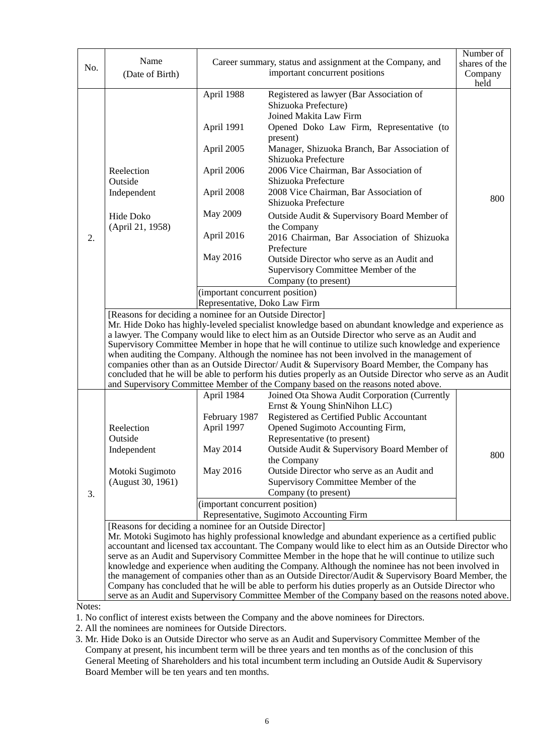| No. | Name<br>(Date of Birth)                                                                                                                                                                                                                                                                                                                                                                                                                                                                                                                                                                                                                                                                                                                                                                                      |                                                                                                     | Career summary, status and assignment at the Company, and<br>important concurrent positions                                                                                                                              | Number of<br>shares of the<br>Company<br>held |  |
|-----|--------------------------------------------------------------------------------------------------------------------------------------------------------------------------------------------------------------------------------------------------------------------------------------------------------------------------------------------------------------------------------------------------------------------------------------------------------------------------------------------------------------------------------------------------------------------------------------------------------------------------------------------------------------------------------------------------------------------------------------------------------------------------------------------------------------|-----------------------------------------------------------------------------------------------------|--------------------------------------------------------------------------------------------------------------------------------------------------------------------------------------------------------------------------|-----------------------------------------------|--|
|     |                                                                                                                                                                                                                                                                                                                                                                                                                                                                                                                                                                                                                                                                                                                                                                                                              | April 1988<br>April 1991<br>April 2005                                                              | Registered as lawyer (Bar Association of<br>Shizuoka Prefecture)<br>Joined Makita Law Firm<br>Opened Doko Law Firm, Representative (to<br>present)<br>Manager, Shizuoka Branch, Bar Association of                       |                                               |  |
|     | Reelection<br>Outside                                                                                                                                                                                                                                                                                                                                                                                                                                                                                                                                                                                                                                                                                                                                                                                        | April 2006                                                                                          | Shizuoka Prefecture<br>2006 Vice Chairman, Bar Association of<br>Shizuoka Prefecture                                                                                                                                     |                                               |  |
|     | Independent                                                                                                                                                                                                                                                                                                                                                                                                                                                                                                                                                                                                                                                                                                                                                                                                  | April 2008                                                                                          | 2008 Vice Chairman, Bar Association of<br>Shizuoka Prefecture                                                                                                                                                            | 800                                           |  |
|     | Hide Doko                                                                                                                                                                                                                                                                                                                                                                                                                                                                                                                                                                                                                                                                                                                                                                                                    | May 2009                                                                                            | Outside Audit & Supervisory Board Member of                                                                                                                                                                              |                                               |  |
| 2.  | (April 21, 1958)                                                                                                                                                                                                                                                                                                                                                                                                                                                                                                                                                                                                                                                                                                                                                                                             | April 2016                                                                                          | the Company<br>2016 Chairman, Bar Association of Shizuoka<br>Prefecture                                                                                                                                                  |                                               |  |
|     |                                                                                                                                                                                                                                                                                                                                                                                                                                                                                                                                                                                                                                                                                                                                                                                                              | May 2016                                                                                            | Outside Director who serve as an Audit and<br>Supervisory Committee Member of the<br>Company (to present)                                                                                                                |                                               |  |
|     |                                                                                                                                                                                                                                                                                                                                                                                                                                                                                                                                                                                                                                                                                                                                                                                                              | (important concurrent position)                                                                     |                                                                                                                                                                                                                          |                                               |  |
|     | Representative, Doko Law Firm                                                                                                                                                                                                                                                                                                                                                                                                                                                                                                                                                                                                                                                                                                                                                                                |                                                                                                     |                                                                                                                                                                                                                          |                                               |  |
|     | [Reasons for deciding a nominee for an Outside Director]<br>Mr. Hide Doko has highly-leveled specialist knowledge based on abundant knowledge and experience as<br>a lawyer. The Company would like to elect him as an Outside Director who serve as an Audit and<br>Supervisory Committee Member in hope that he will continue to utilize such knowledge and experience<br>when auditing the Company. Although the nominee has not been involved in the management of<br>companies other than as an Outside Director/Audit & Supervisory Board Member, the Company has<br>concluded that he will be able to perform his duties properly as an Outside Director who serve as an Audit<br>and Supervisory Committee Member of the Company based on the reasons noted above.                                   |                                                                                                     |                                                                                                                                                                                                                          |                                               |  |
|     |                                                                                                                                                                                                                                                                                                                                                                                                                                                                                                                                                                                                                                                                                                                                                                                                              | April 1984                                                                                          | Joined Ota Showa Audit Corporation (Currently<br>Ernst & Young ShinNihon LLC)                                                                                                                                            |                                               |  |
|     | Reelection<br>Outside<br>Independent<br>Motoki Sugimoto                                                                                                                                                                                                                                                                                                                                                                                                                                                                                                                                                                                                                                                                                                                                                      | February 1987<br>April 1997<br>May 2014<br>May 2016                                                 | Registered as Certified Public Accountant<br>Opened Sugimoto Accounting Firm,<br>Representative (to present)<br>Outside Audit & Supervisory Board Member of<br>the Company<br>Outside Director who serve as an Audit and | 800                                           |  |
|     | (August 30, 1961)                                                                                                                                                                                                                                                                                                                                                                                                                                                                                                                                                                                                                                                                                                                                                                                            |                                                                                                     | Supervisory Committee Member of the                                                                                                                                                                                      |                                               |  |
| 3.  |                                                                                                                                                                                                                                                                                                                                                                                                                                                                                                                                                                                                                                                                                                                                                                                                              | Company (to present)<br>(important concurrent position)<br>Representative, Sugimoto Accounting Firm |                                                                                                                                                                                                                          |                                               |  |
|     | [Reasons for deciding a nominee for an Outside Director]<br>Mr. Motoki Sugimoto has highly professional knowledge and abundant experience as a certified public<br>accountant and licensed tax accountant. The Company would like to elect him as an Outside Director who<br>serve as an Audit and Supervisory Committee Member in the hope that he will continue to utilize such<br>knowledge and experience when auditing the Company. Although the nominee has not been involved in<br>the management of companies other than as an Outside Director/Audit & Supervisory Board Member, the<br>Company has concluded that he will be able to perform his duties properly as an Outside Director who<br>serve as an Audit and Supervisory Committee Member of the Company based on the reasons noted above. |                                                                                                     |                                                                                                                                                                                                                          |                                               |  |

Notes:

1. No conflict of interest exists between the Company and the above nominees for Directors.

2. All the nominees are nominees for Outside Directors.

3. Mr. Hide Doko is an Outside Director who serve as an Audit and Supervisory Committee Member of the Company at present, his incumbent term will be three years and ten months as of the conclusion of this General Meeting of Shareholders and his total incumbent term including an Outside Audit & Supervisory Board Member will be ten years and ten months.